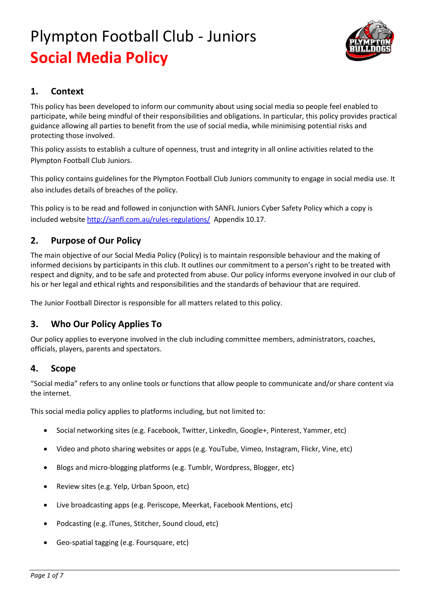

### **1. Context**

This policy has been developed to inform our community about using social media so people feel enabled to participate, while being mindful of their responsibilities and obligations. In particular, this policy provides practical guidance allowing all parties to benefit from the use of social media, while minimising potential risks and protecting those involved.

This policy assists to establish a culture of openness, trust and integrity in all online activities related to the Plympton Football Club Juniors.

This policy contains guidelines for the Plympton Football Club Juniors community to engage in social media use. It also includes details of breaches of the policy.

This policy is to be read and followed in conjunction with SANFL Juniors Cyber Safety Policy which a copy is included website<http://sanfl.com.au/rules-regulations/>Appendix 10.17.

## **2. Purpose of Our Policy**

The main objective of our Social Media Policy (Policy) is to maintain responsible behaviour and the making of informed decisions by participants in this club. It outlines our commitment to a person's right to be treated with respect and dignity, and to be safe and protected from abuse. Our policy informs everyone involved in our club of his or her legal and ethical rights and responsibilities and the standards of behaviour that are required.

The Junior Football Director is responsible for all matters related to this policy.

## **3. Who Our Policy Applies To**

Our policy applies to everyone involved in the club including committee members, administrators, coaches, officials, players, parents and spectators.

### **4. Scope**

"Social media" refers to any online tools or functions that allow people to communicate and/or share content via the internet.

This social media policy applies to platforms including, but not limited to:

- Social networking sites (e.g. Facebook, Twitter, LinkedIn, Google+, Pinterest, Yammer, etc)
- Video and photo sharing websites or apps (e.g. YouTube, Vimeo, Instagram, Flickr, Vine, etc)
- Blogs and micro-blogging platforms (e.g. Tumblr, Wordpress, Blogger, etc)
- Review sites (e.g. Yelp, Urban Spoon, etc)
- Live broadcasting apps (e.g. Periscope, Meerkat, Facebook Mentions, etc)
- Podcasting (e.g. iTunes, Stitcher, Sound cloud, etc)
- Geo-spatial tagging (e.g. Foursquare, etc)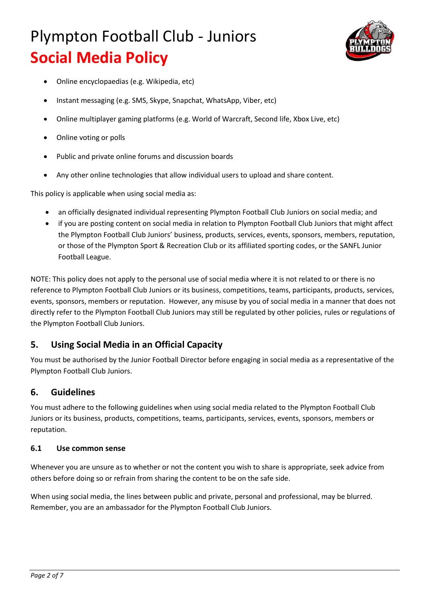

- Online encyclopaedias (e.g. Wikipedia, etc)
- Instant messaging (e.g. SMS, Skype, Snapchat, WhatsApp, Viber, etc)
- Online multiplayer gaming platforms (e.g. World of Warcraft, Second life, Xbox Live, etc)
- Online voting or polls
- Public and private online forums and discussion boards
- Any other online technologies that allow individual users to upload and share content.

This policy is applicable when using social media as:

- an officially designated individual representing Plympton Football Club Juniors on social media; and
- if you are posting content on social media in relation to Plympton Football Club Juniors that might affect the Plympton Football Club Juniors' business, products, services, events, sponsors, members, reputation, or those of the Plympton Sport & Recreation Club or its affiliated sporting codes, or the SANFL Junior Football League.

NOTE: This policy does not apply to the personal use of social media where it is not related to or there is no reference to Plympton Football Club Juniors or its business, competitions, teams, participants, products, services, events, sponsors, members or reputation. However, any misuse by you of social media in a manner that does not directly refer to the Plympton Football Club Juniors may still be regulated by other policies, rules or regulations of the Plympton Football Club Juniors.

## **5. Using Social Media in an Official Capacity**

You must be authorised by the Junior Football Director before engaging in social media as a representative of the Plympton Football Club Juniors.

### **6. Guidelines**

You must adhere to the following guidelines when using social media related to the Plympton Football Club Juniors or its business, products, competitions, teams, participants, services, events, sponsors, members or reputation.

### **6.1 Use common sense**

Whenever you are unsure as to whether or not the content you wish to share is appropriate, seek advice from others before doing so or refrain from sharing the content to be on the safe side.

When using social media, the lines between public and private, personal and professional, may be blurred. Remember, you are an ambassador for the Plympton Football Club Juniors.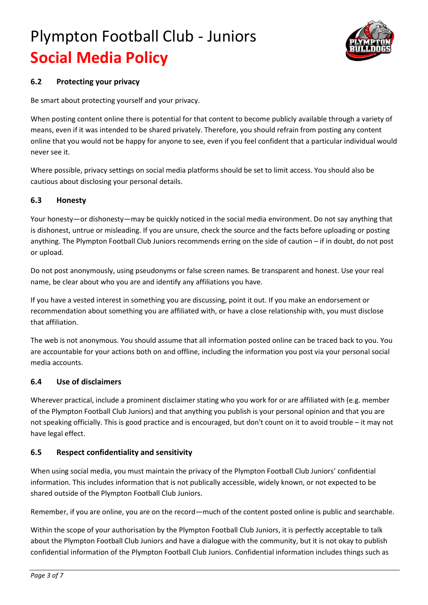

### **6.2 Protecting your privacy**

Be smart about protecting yourself and your privacy.

When posting content online there is potential for that content to become publicly available through a variety of means, even if it was intended to be shared privately. Therefore, you should refrain from posting any content online that you would not be happy for anyone to see, even if you feel confident that a particular individual would never see it.

Where possible, privacy settings on social media platforms should be set to limit access. You should also be cautious about disclosing your personal details.

### **6.3 Honesty**

Your honesty—or dishonesty—may be quickly noticed in the social media environment. Do not say anything that is dishonest, untrue or misleading. If you are unsure, check the source and the facts before uploading or posting anything. The Plympton Football Club Juniors recommends erring on the side of caution – if in doubt, do not post or upload.

Do not post anonymously, using pseudonyms or false screen names. Be transparent and honest. Use your real name, be clear about who you are and identify any affiliations you have.

If you have a vested interest in something you are discussing, point it out. If you make an endorsement or recommendation about something you are affiliated with, or have a close relationship with, you must disclose that affiliation.

The web is not anonymous. You should assume that all information posted online can be traced back to you. You are accountable for your actions both on and offline, including the information you post via your personal social media accounts.

#### **6.4 Use of disclaimers**

Wherever practical, include a prominent disclaimer stating who you work for or are affiliated with (e.g. member of the Plympton Football Club Juniors) and that anything you publish is your personal opinion and that you are not speaking officially. This is good practice and is encouraged, but don't count on it to avoid trouble – it may not have legal effect.

#### **6.5 Respect confidentiality and sensitivity**

When using social media, you must maintain the privacy of the Plympton Football Club Juniors' confidential information. This includes information that is not publically accessible, widely known, or not expected to be shared outside of the Plympton Football Club Juniors.

Remember, if you are online, you are on the record—much of the content posted online is public and searchable.

Within the scope of your authorisation by the Plympton Football Club Juniors, it is perfectly acceptable to talk about the Plympton Football Club Juniors and have a dialogue with the community, but it is not okay to publish confidential information of the Plympton Football Club Juniors. Confidential information includes things such as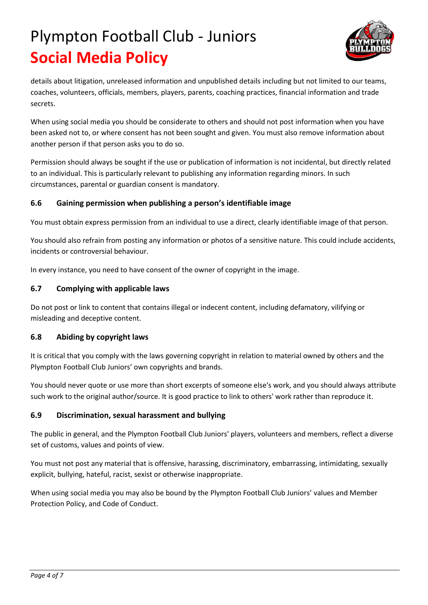

details about litigation, unreleased information and unpublished details including but not limited to our teams, coaches, volunteers, officials, members, players, parents, coaching practices, financial information and trade secrets.

When using social media you should be considerate to others and should not post information when you have been asked not to, or where consent has not been sought and given. You must also remove information about another person if that person asks you to do so.

Permission should always be sought if the use or publication of information is not incidental, but directly related to an individual. This is particularly relevant to publishing any information regarding minors. In such circumstances, parental or guardian consent is mandatory.

### **6.6 Gaining permission when publishing a person's identifiable image**

You must obtain express permission from an individual to use a direct, clearly identifiable image of that person.

You should also refrain from posting any information or photos of a sensitive nature. This could include accidents, incidents or controversial behaviour.

In every instance, you need to have consent of the owner of copyright in the image.

### **6.7 Complying with applicable laws**

Do not post or link to content that contains illegal or indecent content, including defamatory, vilifying or misleading and deceptive content.

### **6.8 Abiding by copyright laws**

It is critical that you comply with the laws governing copyright in relation to material owned by others and the Plympton Football Club Juniors' own copyrights and brands.

You should never quote or use more than short excerpts of someone else's work, and you should always attribute such work to the original author/source. It is good practice to link to others' work rather than reproduce it.

### **6.9 Discrimination, sexual harassment and bullying**

The public in general, and the Plympton Football Club Juniors' players, volunteers and members, reflect a diverse set of customs, values and points of view.

You must not post any material that is offensive, harassing, discriminatory, embarrassing, intimidating, sexually explicit, bullying, hateful, racist, sexist or otherwise inappropriate.

When using social media you may also be bound by the Plympton Football Club Juniors' values and Member Protection Policy, and Code of Conduct.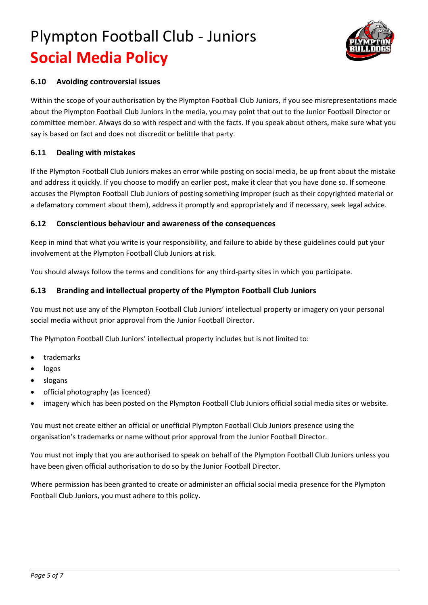

#### **6.10 Avoiding controversial issues**

Within the scope of your authorisation by the Plympton Football Club Juniors, if you see misrepresentations made about the Plympton Football Club Juniors in the media, you may point that out to the Junior Football Director or committee member. Always do so with respect and with the facts. If you speak about others, make sure what you say is based on fact and does not discredit or belittle that party.

#### **6.11 Dealing with mistakes**

If the Plympton Football Club Juniors makes an error while posting on social media, be up front about the mistake and address it quickly. If you choose to modify an earlier post, make it clear that you have done so. If someone accuses the Plympton Football Club Juniors of posting something improper (such as their copyrighted material or a defamatory comment about them), address it promptly and appropriately and if necessary, seek legal advice.

#### **6.12 Conscientious behaviour and awareness of the consequences**

Keep in mind that what you write is your responsibility, and failure to abide by these guidelines could put your involvement at the Plympton Football Club Juniors at risk.

You should always follow the terms and conditions for any third-party sites in which you participate.

#### **6.13 Branding and intellectual property of the Plympton Football Club Juniors**

You must not use any of the Plympton Football Club Juniors' intellectual property or imagery on your personal social media without prior approval from the Junior Football Director.

The Plympton Football Club Juniors' intellectual property includes but is not limited to:

- trademarks
- logos
- slogans
- official photography (as licenced)
- imagery which has been posted on the Plympton Football Club Juniors official social media sites or website.

You must not create either an official or unofficial Plympton Football Club Juniors presence using the organisation's trademarks or name without prior approval from the Junior Football Director.

You must not imply that you are authorised to speak on behalf of the Plympton Football Club Juniors unless you have been given official authorisation to do so by the Junior Football Director.

Where permission has been granted to create or administer an official social media presence for the Plympton Football Club Juniors, you must adhere to this policy.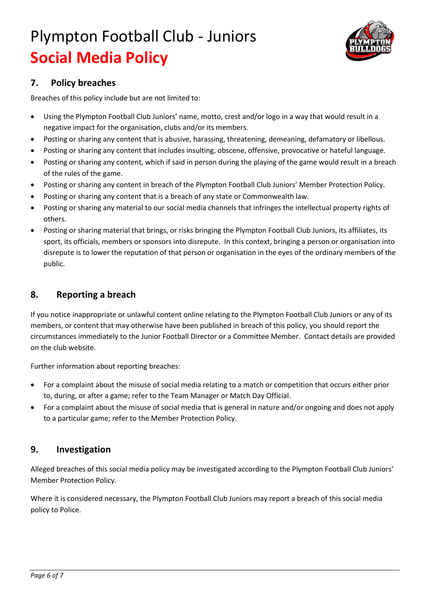

## **7. Policy breaches**

Breaches of this policy include but are not limited to:

- Using the Plympton Football Club Juniors' name, motto, crest and/or logo in a way that would result in a negative impact for the organisation, clubs and/or its members.
- Posting or sharing any content that is abusive, harassing, threatening, demeaning, defamatory or libellous.
- Posting or sharing any content that includes insulting, obscene, offensive, provocative or hateful language.
- Posting or sharing any content, which if said in person during the playing of the game would result in a breach of the rules of the game.
- Posting or sharing any content in breach of the Plympton Football Club Juniors' Member Protection Policy.
- Posting or sharing any content that is a breach of any state or Commonwealth law.
- Posting or sharing any material to our social media channels that infringes the intellectual property rights of others.
- Posting or sharing material that brings, or risks bringing the Plympton Football Club Juniors, its affiliates, its sport, its officials, members or sponsors into disrepute. In this context, bringing a person or organisation into disrepute is to lower the reputation of that person or organisation in the eyes of the ordinary members of the public.

## **8. Reporting a breach**

If you notice inappropriate or unlawful content online relating to the Plympton Football Club Juniors or any of its members, or content that may otherwise have been published in breach of this policy, you should report the circumstances immediately to the Junior Football Director or a Committee Member. Contact details are provided on the club website.

Further information about reporting breaches:

- For a complaint about the misuse of social media relating to a match or competition that occurs either prior to, during, or after a game; refer to the Team Manager or Match Day Official.
- For a complaint about the misuse of social media that is general in nature and/or ongoing and does not apply to a particular game; refer to the Member Protection Policy.

## **9. Investigation**

Alleged breaches of this social media policy may be investigated according to the Plympton Football Club Juniors' Member Protection Policy.

Where it is considered necessary, the Plympton Football Club Juniors may report a breach of this social media policy to Police.